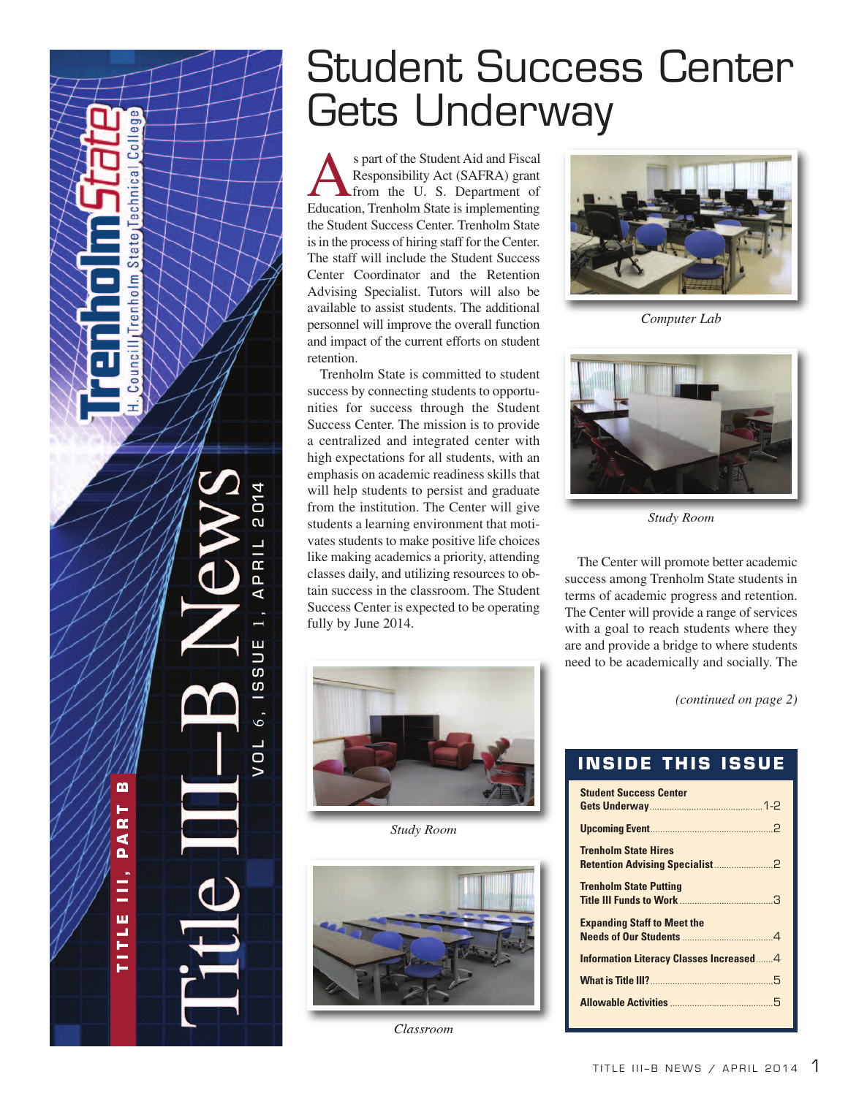

## Student Success Center Gets Underway

s part of the Student Aid and Fiscal<br>Responsibility Act (SAFRA) grant<br>from the U. S. Department of<br>Education Trenholm State is implementing Responsibility Act (SAFRA) grant from the U. S. Department of Education, Trenholm State is implementing the Student Success Center. Trenholm State is in the process of hiring staff for the Center. The staff will include the Student Success Center Coordinator and the Retention Advising Specialist. Tutors will also be available to assist students. The additional personnel will improve the overall function and impact of the current efforts on student retention.

Trenholm State is committed to student success by connecting students to opportunities for success through the Student Success Center. The mission is to provide a centralized and integrated center with high expectations for all students, with an emphasis on academic readiness skills that will help students to persist and graduate from the institution. The Center will give students a learning environment that motivates students to make positive life choices like making academics a priority, attending classes daily, and utilizing resources to obtain success in the classroom. The Student Success Center is expected to be operating fully by June 2014.



*Study Room*



*Classroom*



*Computer Lab*



*Study Room*

The Center will promote better academic success among Trenholm State students in terms of academic progress and retention. The Center will provide a range of services with a goal to reach students where they are and provide a bridge to where students need to be academically and socially. The

*(continued on page 2)*

#### **Student Success Center Gets Underway**..............................................1-2 **Upcoming Event**.................................................. 2 **Trenholm State Hires Retention Advising Specialist**........................ 2 **Trenholm State Putting Title III Funds to Work...** 3 **Expanding Staff to Meet the Needs of Our Students** ..................................... 4 **Information Literacy Classes Increased**....... 4 **What is Title III?**.................................................. 5 **Allowable Activities** .......................................... 5 **INSIDE THIS ISSUE**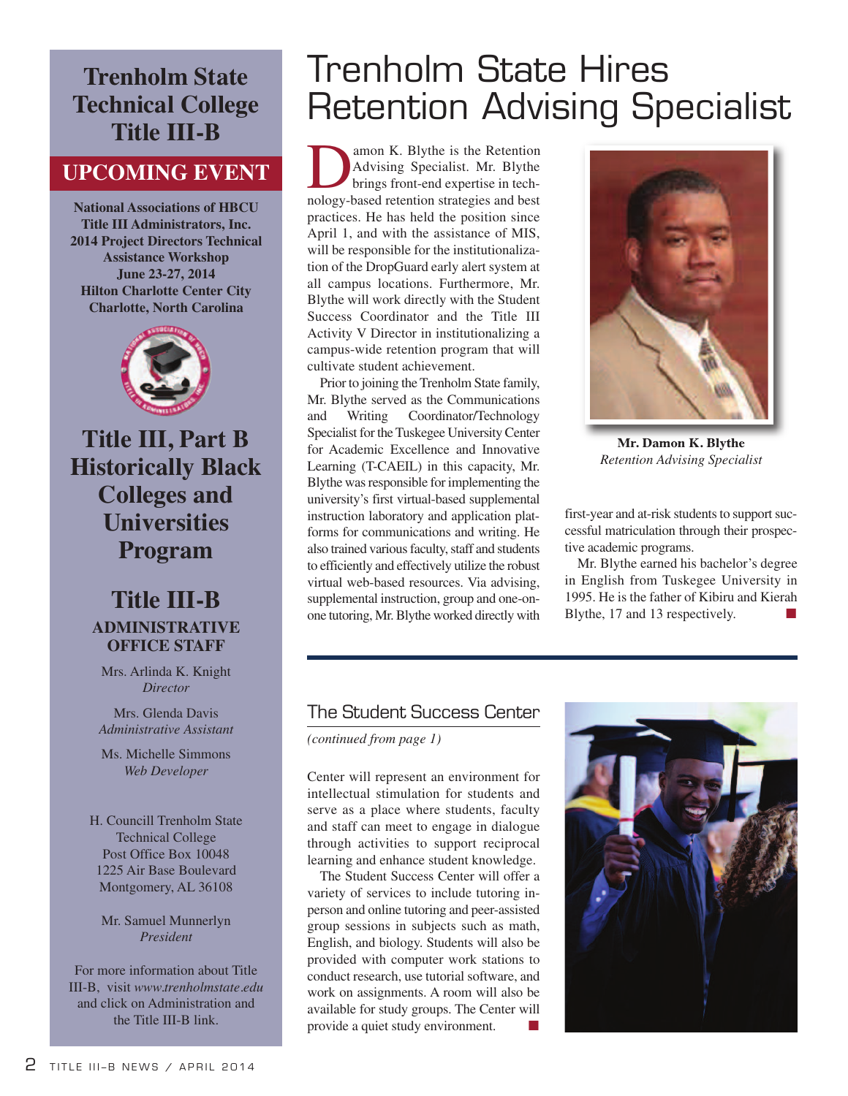**Trenholm State Technical College Title III-B**

#### **UPCOMING EVENT**

**National Associations of HBCU Title III Administrators, Inc. 2014 Project Directors Technical Assistance Workshop June 23-27, 2014 Hilton Charlotte Center City Charlotte, North Carolina**



**Title III, Part B Historically Black Colleges and Universities Program**

#### **Title III-B ADMINISTRATIVE OFFICE STAFF**

Mrs. Arlinda K. Knight *Director*

Mrs. Glenda Davis *Administrative Assistant*

Ms. Michelle Simmons *Web Developer*

H. Councill Trenholm State Technical College Post Office Box 10048 1225 Air Base Boulevard Montgomery, AL 36108

Mr. Samuel Munnerlyn *President*

For more information about Title III-B, visit *www.trenholmstate.edu* and click on Administration and the Title III-B link.

### Trenholm State Hires Retention Advising Specialist

**Damon K. Blythe is the Retention**<br>Advising Specialist. Mr. Blythe<br>brings front-end expertise in tech-<br>nology-based retention strategies and hest Advising Specialist. Mr. Blythe brings front-end expertise in technology-based retention strategies and best practices. He has held the position since April 1, and with the assistance of MIS, will be responsible for the institutionalization of the DropGuard early alert system at all campus locations. Furthermore, Mr. Blythe will work directly with the Student Success Coordinator and the Title III Activity V Director in institutionalizing a campus-wide retention program that will cultivate student achievement.

Prior to joining the Trenholm State family, Mr. Blythe served as the Communications and Writing Coordinator/Technology Specialist for the Tuskegee University Center for Academic Excellence and Innovative Learning (T-CAEIL) in this capacity, Mr. Blythe was responsible for implementing the university's first virtual-based supplemental instruction laboratory and application platforms for communications and writing. He also trained various faculty, staff and students to efficiently and effectively utilize the robust virtual web-based resources. Via advising, supplemental instruction, group and one-onone tutoring, Mr.Blythe worked directly with



**Mr. Damon K. Blythe** *Retention Advising Specialist*

first-year and at-risk students to support successful matriculation through their prospective academic programs.

Mr. Blythe earned his bachelor's degree in English from Tuskegee University in 1995. He is the father of Kibiru and Kierah Blythe, 17 and 13 respectively.

#### The Student Success Center

*(continued from page 1)*

Center will represent an environment for intellectual stimulation for students and serve as a place where students, faculty and staff can meet to engage in dialogue through activities to support reciprocal learning and enhance student knowledge.

The Student Success Center will offer a variety of services to include tutoring inperson and online tutoring and peer-assisted group sessions in subjects such as math, English, and biology. Students will also be provided with computer work stations to conduct research, use tutorial software, and work on assignments. A room will also be available for study groups. The Center will provide a quiet study environment. **■**

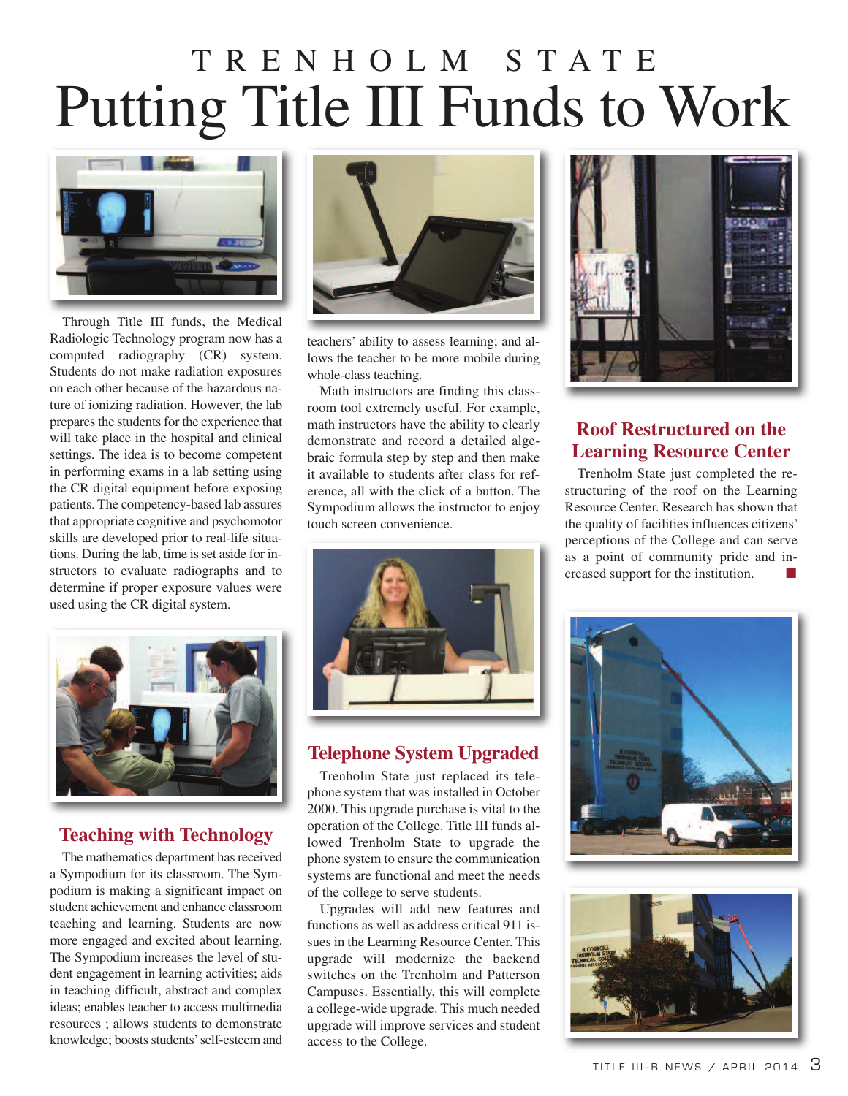## T R E N H O L M S T A T E Putting Title III Funds to Work



Through Title III funds, the Medical Radiologic Technology program now has a computed radiography (CR) system. Students do not make radiation exposures on each other because of the hazardous nature of ionizing radiation. However, the lab prepares the students for the experience that will take place in the hospital and clinical settings. The idea is to become competent in performing exams in a lab setting using the CR digital equipment before exposing patients. The competency-based lab assures that appropriate cognitive and psychomotor skills are developed prior to real-life situations. During the lab, time is set aside for instructors to evaluate radiographs and to determine if proper exposure values were used using the CR digital system.



#### **Teaching with Technology**

The mathematics department has received a Sympodium for its classroom. The Sympodium is making a significant impact on student achievement and enhance classroom teaching and learning. Students are now more engaged and excited about learning. The Sympodium increases the level of student engagement in learning activities; aids in teaching difficult, abstract and complex ideas; enables teacher to access multimedia resources ; allows students to demonstrate knowledge; boosts students' self-esteem and



teachers' ability to assess learning; and allows the teacher to be more mobile during whole-class teaching.

Math instructors are finding this classroom tool extremely useful. For example, math instructors have the ability to clearly demonstrate and record a detailed algebraic formula step by step and then make it available to students after class for reference, all with the click of a button. The Sympodium allows the instructor to enjoy touch screen convenience.



#### **Telephone System Upgraded**

Trenholm State just replaced its telephone system that was installed in October 2000. This upgrade purchase is vital to the operation of the College. Title III funds allowed Trenholm State to upgrade the phone system to ensure the communication systems are functional and meet the needs of the college to serve students.

Upgrades will add new features and functions as well as address critical 911 issues in the Learning Resource Center. This upgrade will modernize the backend switches on the Trenholm and Patterson Campuses. Essentially, this will complete a college-wide upgrade. This much needed upgrade will improve services and student access to the College.



#### **Roof Restructured on the Learning Resource Center**

Trenholm State just completed the restructuring of the roof on the Learning Resource Center. Research has shown that the quality of facilities influences citizens' perceptions of the College and can serve as a point of community pride and increased support for the institution. **■**



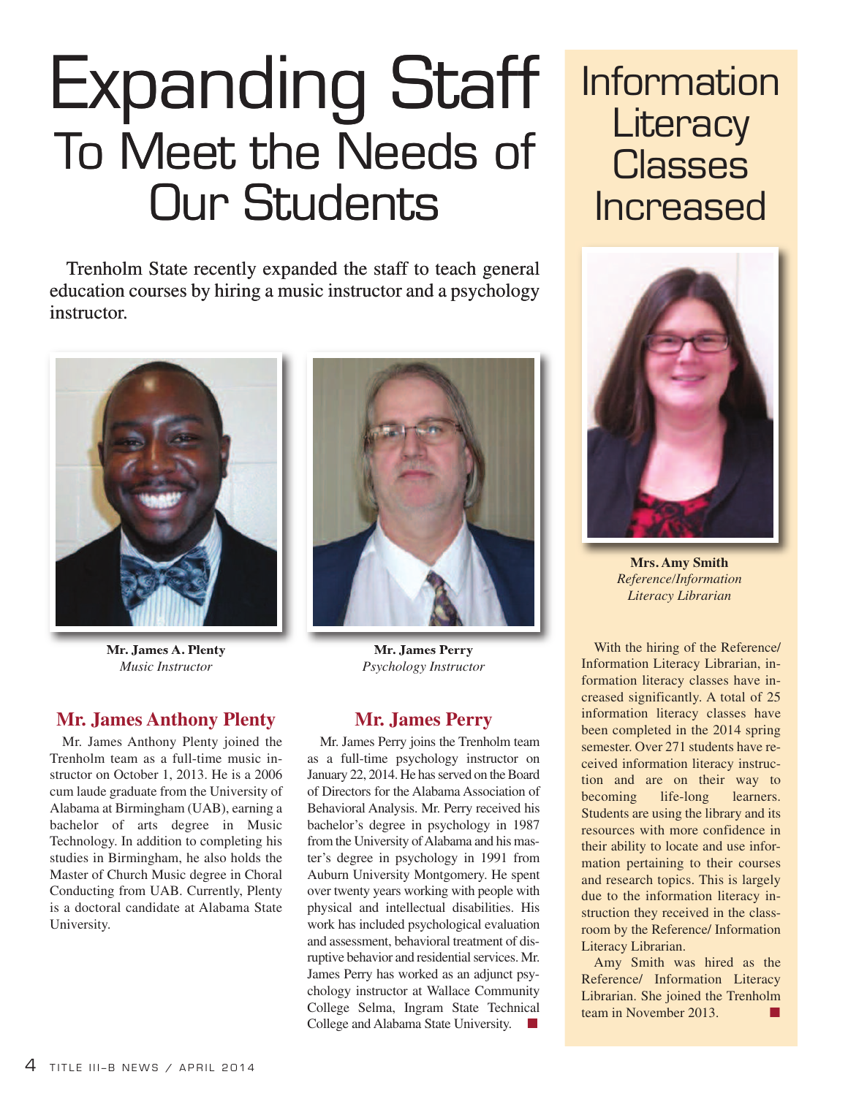## Expanding Staff To Meet the Needs of Our Students

Trenholm State recently expanded the staff to teach general education courses by hiring a music instructor and a psychology instructor.



**Mr. James A. Plenty** *Music Instructor*

#### **Mr. James Anthony Plenty**

Mr. James Anthony Plenty joined the Trenholm team as a full-time music instructor on October 1, 2013. He is a 2006 cum laude graduate from the University of Alabama at Birmingham (UAB), earning a bachelor of arts degree in Music Technology. In addition to completing his studies in Birmingham, he also holds the Master of Church Music degree in Choral Conducting from UAB. Currently, Plenty is a doctoral candidate at Alabama State University.



**Mr. James Perry** *Psychology Instructor*

#### **Mr. James Perry**

Mr. James Perry joins the Trenholm team as a full-time psychology instructor on January 22, 2014. He has served on the Board of Directors for the Alabama Association of Behavioral Analysis. Mr. Perry received his bachelor's degree in psychology in 1987 from the University of Alabama and his master's degree in psychology in 1991 from Auburn University Montgomery. He spent over twenty years working with people with physical and intellectual disabilities. His work has included psychological evaluation and assessment, behavioral treatment of disruptive behavior and residential services. Mr. James Perry has worked as an adjunct psychology instructor at Wallace Community College Selma, Ingram State Technical College and Alabama State University. **■**

**Information Literacy** Classes **Increased** 



**Mrs. Amy Smith** *Reference/Information Literacy Librarian*

With the hiring of the Reference/ Information Literacy Librarian, information literacy classes have increased significantly. A total of 25 information literacy classes have been completed in the 2014 spring semester. Over 271 students have received information literacy instruction and are on their way to becoming life-long learners. Students are using the library and its resources with more confidence in their ability to locate and use information pertaining to their courses and research topics. This is largely due to the information literacy instruction they received in the classroom by the Reference/ Information Literacy Librarian.

Amy Smith was hired as the Reference/ Information Literacy Librarian. She joined the Trenholm team in November 2013.